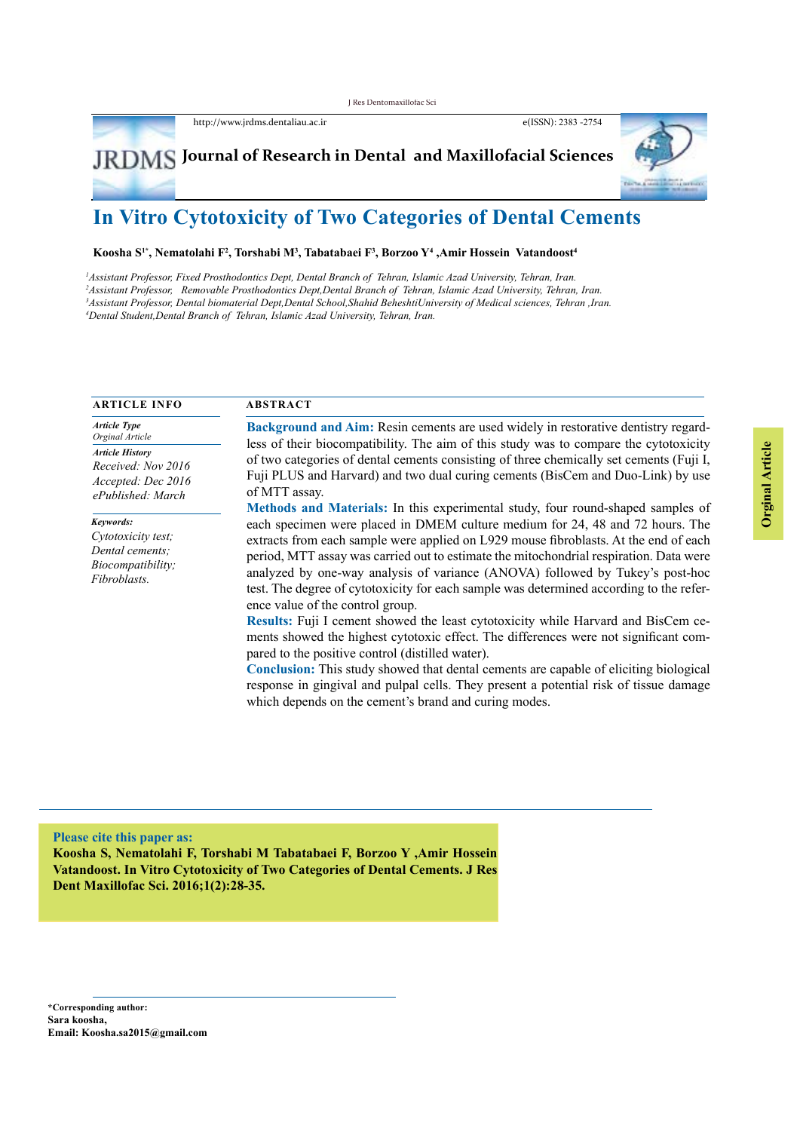http://www.jrdms.dentaliau.ac.ir e(ISSN): 2383 -2754

# $J\dot{R} \dot{D} \dot{M} S$  Journal of Research in Dental and Maxillofacial Sciences

# **In Vitro Cytotoxicity of Two Categories of Dental Cements**

**Koosha S1\*, Nematolahi F2 , Torshabi M3 , Tabatabaei F3 , Borzoo Y4 ,Amir Hossein Vatandoost4**

 *Assistant Professor, Fixed Prosthodontics Dept, Dental Branch of Tehran, Islamic Azad University, Tehran, Iran. Assistant Professor, Removable Prosthodontics Dept,Dental Branch of Tehran, Islamic Azad University, Tehran, Iran. Assistant Professor, Dental biomaterial Dept,Dental School,Shahid BeheshtiUniversity of Medical sciences, Tehran ,Iran. Dental Student,Dental Branch of Tehran, Islamic Azad University, Tehran, Iran.*

| <b>ARTICLE INFO</b>                                                                     | <b>ABSTRACT</b>                                                                                                                                                                                                                                                                                                                                                                                                                                                                                                                                                                                                                                                                                                                                                                                                                                                                                                                                                                                                                                       |  |  |  |
|-----------------------------------------------------------------------------------------|-------------------------------------------------------------------------------------------------------------------------------------------------------------------------------------------------------------------------------------------------------------------------------------------------------------------------------------------------------------------------------------------------------------------------------------------------------------------------------------------------------------------------------------------------------------------------------------------------------------------------------------------------------------------------------------------------------------------------------------------------------------------------------------------------------------------------------------------------------------------------------------------------------------------------------------------------------------------------------------------------------------------------------------------------------|--|--|--|
| <b>Article Type</b><br>Orginal Article                                                  | Background and Aim: Resin cements are used widely in restorative dentistry regard-                                                                                                                                                                                                                                                                                                                                                                                                                                                                                                                                                                                                                                                                                                                                                                                                                                                                                                                                                                    |  |  |  |
| <b>Article History</b><br>Received: Nov 2016<br>Accepted: Dec 2016<br>ePublished: March | less of their biocompatibility. The aim of this study was to compare the cytotoxicity<br>of two categories of dental cements consisting of three chemically set cements (Fuji I,<br>Fuji PLUS and Harvard) and two dual curing cements (BisCem and Duo-Link) by use<br>of MTT assay.                                                                                                                                                                                                                                                                                                                                                                                                                                                                                                                                                                                                                                                                                                                                                                  |  |  |  |
| Keywords:<br>Cytotoxicity test;<br>Dental cements:<br>Biocompatibility;<br>Fibroblasts. | Methods and Materials: In this experimental study, four round-shaped samples of<br>each specimen were placed in DMEM culture medium for 24, 48 and 72 hours. The<br>extracts from each sample were applied on L929 mouse fibroblasts. At the end of each<br>period, MTT assay was carried out to estimate the mitochondrial respiration. Data were<br>analyzed by one-way analysis of variance (ANOVA) followed by Tukey's post-hoc<br>test. The degree of cytotoxicity for each sample was determined according to the refer-<br>ence value of the control group.<br>Results: Fuji I cement showed the least cytotoxicity while Harvard and BisCem ce-<br>ments showed the highest cytotoxic effect. The differences were not significant com-<br>pared to the positive control (distilled water).<br><b>Conclusion:</b> This study showed that dental cements are capable of eliciting biological<br>response in gingival and pulpal cells. They present a potential risk of tissue damage<br>which depends on the cement's brand and curing modes. |  |  |  |

#### **Please cite this paper as:**

**Koosha S, Nematolahi F, Torshabi M Tabatabaei F, Borzoo Y ,Amir Hossein Vatandoost. In Vitro Cytotoxicity of Two Categories of Dental Cements. J Res Dent Maxillofac Sci. 2016;1(2):28-35.**

 J Res Dent Maxillofac Sci , Vol 1,No 2, Spring 2016 http://www.jrdms.dentaliau.ac.ir Sara koosha, **\*Corresponding author: Email: Koosha.sa2015@gmail.com**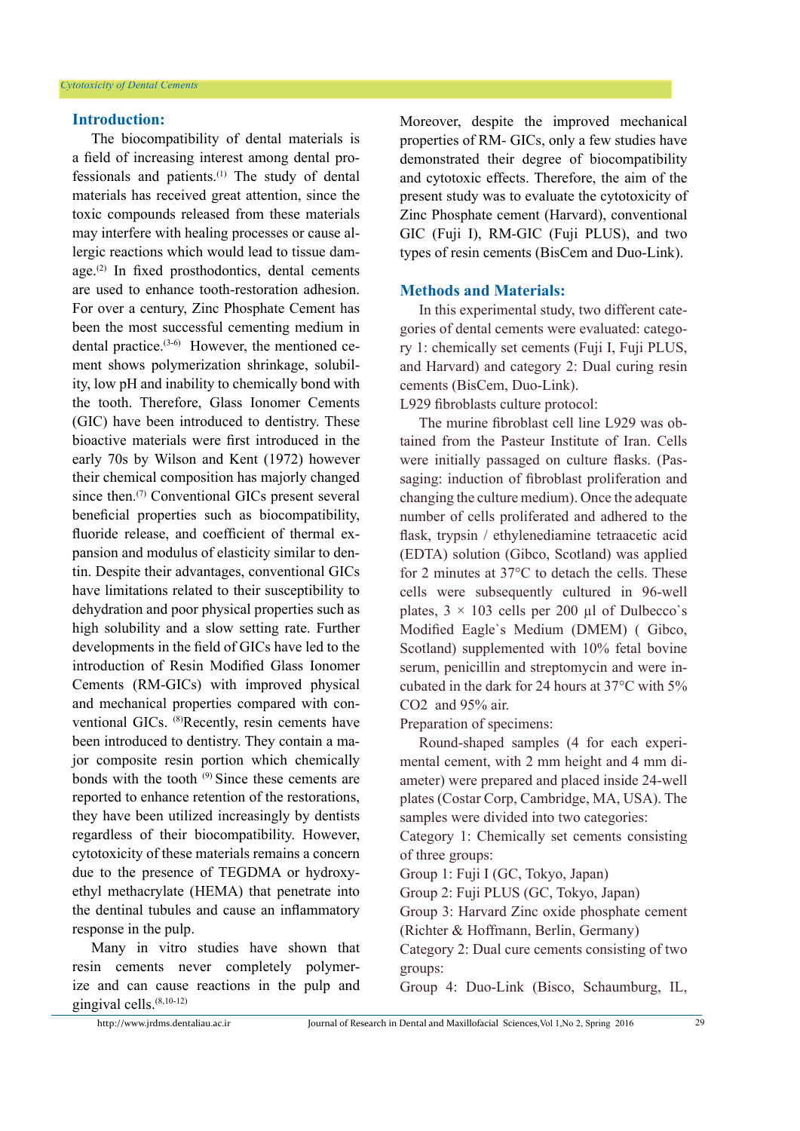#### **Introduction:**

The biocompatibility of dental materials is a field of increasing interest among dental professionals and patients.(1) The study of dental materials has received great attention, since the toxic compounds released from these materials may interfere with healing processes or cause allergic reactions which would lead to tissue damage.(2) In fixed prosthodontics, dental cements are used to enhance tooth-restoration adhesion. For over a century, Zinc Phosphate Cement has been the most successful cementing medium in dental practice.(3-6) However, the mentioned cement shows polymerization shrinkage, solubility, low pH and inability to chemically bond with the tooth. Therefore, Glass Ionomer Cements (GIC) have been introduced to dentistry. These bioactive materials were first introduced in the early 70s by Wilson and Kent (1972) however their chemical composition has majorly changed since then.<sup>(7)</sup> Conventional GICs present several beneficial properties such as biocompatibility, fluoride release, and coefficient of thermal expansion and modulus of elasticity similar to dentin. Despite their advantages, conventional GICs have limitations related to their susceptibility to dehydration and poor physical properties such as high solubility and a slow setting rate. Further developments in the field of GICs have led to the introduction of Resin Modified Glass Ionomer Cements (RM-GICs) with improved physical and mechanical properties compared with conventional GICs. (8)Recently, resin cements have been introduced to dentistry. They contain a major composite resin portion which chemically bonds with the tooth (9) Since these cements are reported to enhance retention of the restorations, they have been utilized increasingly by dentists regardless of their biocompatibility. However, cytotoxicity of these materials remains a concern due to the presence of TEGDMA or hydroxyethyl methacrylate (HEMA) that penetrate into the dentinal tubules and cause an inflammatory response in the pulp.

Many in vitro studies have shown that resin cements never completely polymerize and can cause reactions in the pulp and gingival cells.(8,10-12)

Moreover, despite the improved mechanical properties of RM- GICs, only a few studies have demonstrated their degree of biocompatibility and cytotoxic effects. Therefore, the aim of the present study was to evaluate the cytotoxicity of Zinc Phosphate cement (Harvard), conventional GIC (Fuji I), RM-GIC (Fuji PLUS), and two types of resin cements (BisCem and Duo-Link).

## **Methods and Materials:**

In this experimental study, two different categories of dental cements were evaluated: category 1: chemically set cements (Fuji I, Fuji PLUS, and Harvard) and category 2: Dual curing resin cements (BisCem, Duo-Link).

L929 fibroblasts culture protocol:

The murine fibroblast cell line L929 was obtained from the Pasteur Institute of Iran. Cells were initially passaged on culture flasks. (Passaging: induction of fibroblast proliferation and changing the culture medium). Once the adequate number of cells proliferated and adhered to the flask, trypsin / ethylenediamine tetraacetic acid (EDTA) solution (Gibco, Scotland) was applied for 2 minutes at 37°C to detach the cells. These cells were subsequently cultured in 96-well plates,  $3 \times 103$  cells per 200 ul of Dulbecco's Modified Eagle`s Medium (DMEM) ( Gibco, Scotland) supplemented with 10% fetal bovine serum, penicillin and streptomycin and were incubated in the dark for 24 hours at 37°C with 5% CO2 and 95% air.

Preparation of specimens:

Round-shaped samples (4 for each experimental cement, with 2 mm height and 4 mm diameter) were prepared and placed inside 24-well plates (Costar Corp, Cambridge, MA, USA). The samples were divided into two categories:

Category 1: Chemically set cements consisting of three groups:

Group 1: Fuji I (GC, Tokyo, Japan)

Group 2: Fuji PLUS (GC, Tokyo, Japan)

Group 3: Harvard Zinc oxide phosphate cement (Richter & Hoffmann, Berlin, Germany)

Category 2: Dual cure cements consisting of two groups:

Group 4: Duo-Link (Bisco, Schaumburg, IL,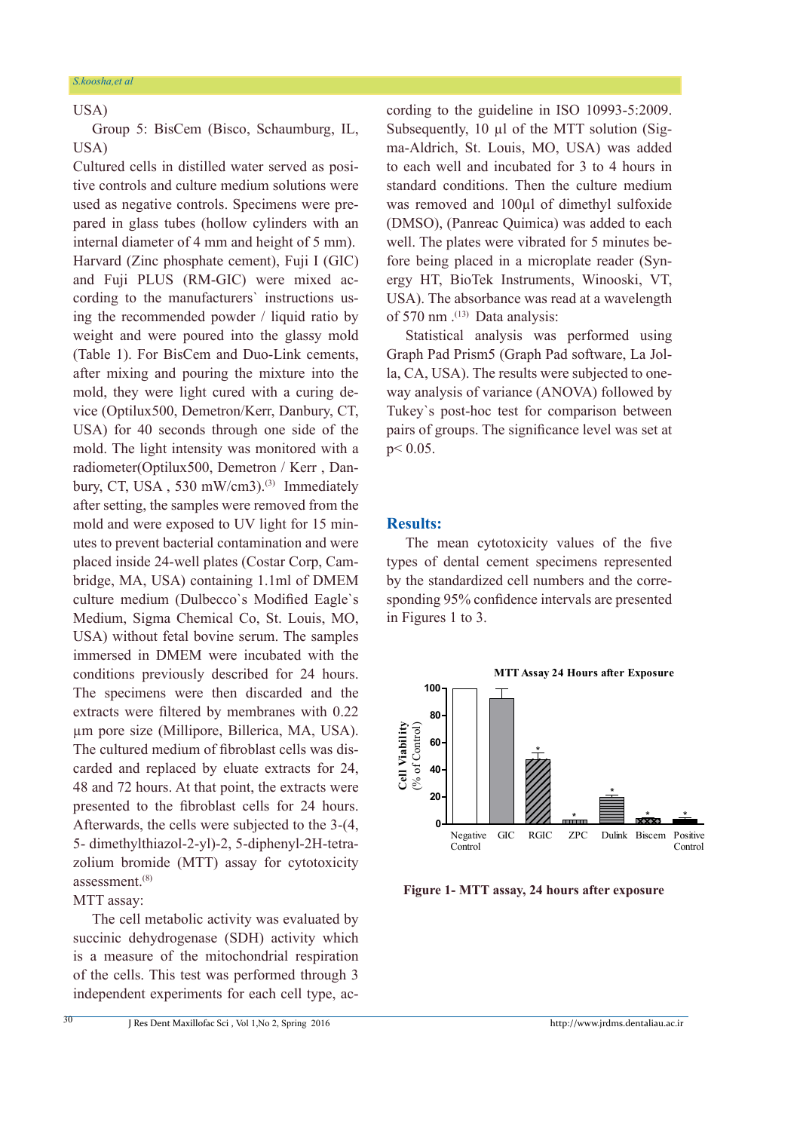# USA)

Group 5: BisCem (Bisco, Schaumburg, IL, USA)

Cultured cells in distilled water served as positive controls and culture medium solutions were used as negative controls. Specimens were prepared in glass tubes (hollow cylinders with an internal diameter of 4 mm and height of 5 mm). Harvard (Zinc phosphate cement), Fuji I (GIC) and Fuji PLUS (RM-GIC) were mixed according to the manufacturers` instructions using the recommended powder / liquid ratio by weight and were poured into the glassy mold (Table 1). For BisCem and Duo-Link cements, after mixing and pouring the mixture into the mold, they were light cured with a curing device (Optilux500, Demetron/Kerr, Danbury, CT, USA) for 40 seconds through one side of the mold. The light intensity was monitored with a radiometer(Optilux500, Demetron / Kerr , Danbury, CT, USA, 530 mW/cm3).<sup>(3)</sup> Immediately after setting, the samples were removed from the mold and were exposed to UV light for 15 minutes to prevent bacterial contamination and were placed inside 24-well plates (Costar Corp, Cambridge, MA, USA) containing 1.1ml of DMEM culture medium (Dulbecco`s Modified Eagle`s Medium, Sigma Chemical Co, St. Louis, MO, USA) without fetal bovine serum. The samples immersed in DMEM were incubated with the conditions previously described for 24 hours. The specimens were then discarded and the extracts were filtered by membranes with 0.22 µm pore size (Millipore, Billerica, MA, USA). The cultured medium of fibroblast cells was discarded and replaced by eluate extracts for 24, 48 and 72 hours. At that point, the extracts were presented to the fibroblast cells for 24 hours. Afterwards, the cells were subjected to the 3-(4, 5- dimethylthiazol-2-yl)-2, 5-diphenyl-2H-tetrazolium bromide (MTT) assay for cytotoxicity assessment.(8)

MTT assay:

30

The cell metabolic activity was evaluated by succinic dehydrogenase (SDH) activity which is a measure of the mitochondrial respiration of the cells. This test was performed through 3 independent experiments for each cell type, according to the guideline in ISO 10993-5:2009. Subsequently, 10 µl of the MTT solution (Sigma-Aldrich, St. Louis, MO, USA) was added to each well and incubated for 3 to 4 hours in standard conditions. Then the culture medium was removed and 100µl of dimethyl sulfoxide (DMSO), (Panreac Quimica) was added to each well. The plates were vibrated for 5 minutes before being placed in a microplate reader (Synergy HT, BioTek Instruments, Winooski, VT, USA). The absorbance was read at a wavelength of 570 nm $(13)$  Data analysis:

Statistical analysis was performed using Graph Pad Prism5 (Graph Pad software, La Jolla, CA, USA). The results were subjected to oneway analysis of variance (ANOVA) followed by Tukey`s post-hoc test for comparison between pairs of groups. The significance level was set at p< 0.05.

### **Results:**

The mean cytotoxicity values of the five types of dental cement specimens represented by the standardized cell numbers and the corresponding 95% confidence intervals are presented in Figures 1 to 3.



 **Figure 1- MTT assay, 24 hours after exposure**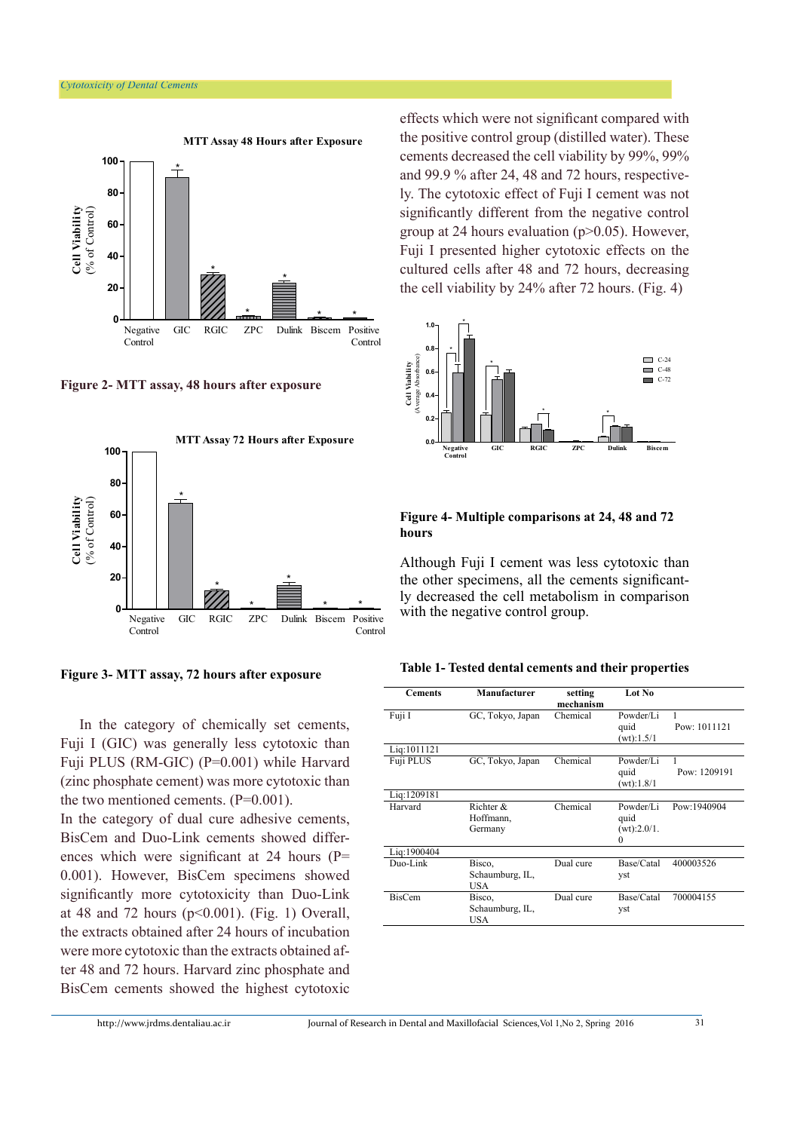

**Figure 2- MTT assay, 48 hours after exposure** 



**Figure 3- MTT assay, 72 hours after exposure**

In the category of chemically set cements, Fuji I (GIC) was generally less cytotoxic than Fuji PLUS (RM-GIC) (P=0.001) while Harvard (zinc phosphate cement) was more cytotoxic than the two mentioned cements.  $(P=0.001)$ .

In the category of dual cure adhesive cements, BisCem and Duo-Link cements showed differences which were significant at 24 hours (P= 0.001). However, BisCem specimens showed significantly more cytotoxicity than Duo-Link at 48 and 72 hours  $(p<0.001)$ . (Fig. 1) Overall, the extracts obtained after 24 hours of incubation were more cytotoxic than the extracts obtained after 48 and 72 hours. Harvard zinc phosphate and BisCem cements showed the highest cytotoxic effects which were not significant compared with the positive control group (distilled water). These cements decreased the cell viability by 99%, 99% and 99.9 % after 24, 48 and 72 hours, respectively. The cytotoxic effect of Fuji I cement was not significantly different from the negative control group at 24 hours evaluation (p>0.05). However, Fuji I presented higher cytotoxic effects on the cultured cells after 48 and 72 hours, decreasing the cell viability by 24% after 72 hours. (Fig. 4)



#### **Figure 4- Multiple comparisons at 24, 48 and 72 hours**

Although Fuji I cement was less cytotoxic than the other specimens, all the cements significantly decreased the cell metabolism in comparison with the negative control group.

| Table 1- Tested dental cements and their properties |  |  |  |
|-----------------------------------------------------|--|--|--|
|-----------------------------------------------------|--|--|--|

| <b>Cements</b> | Manufacturer     | setting<br>mechanism | Lot No      |              |
|----------------|------------------|----------------------|-------------|--------------|
| Fuji I         | GC, Tokyo, Japan | Chemical             | Powder/Li   | 1            |
|                |                  |                      | quid        | Pow: 1011121 |
|                |                  |                      | (wt): 1.5/1 |              |
| Lig:1011121    |                  |                      |             |              |
| Fuji PLUS      | GC, Tokyo, Japan | Chemical             | Powder/Li   | 1            |
|                |                  |                      | quid        | Pow: 1209191 |
|                |                  |                      | (wt): 1.8/1 |              |
| Lig:1209181    |                  |                      |             |              |
| Harvard        | Richter $\&$     | Chemical             | Powder/Li   | Pow:1940904  |
|                | Hoffmann,        |                      | quid        |              |
|                | Germany          |                      | (wt):2.0/1. |              |
|                |                  |                      | $\Omega$    |              |
| Lig:1900404    |                  |                      |             |              |
| Duo-Link       | Bisco,           | Dual cure            | Base/Catal  | 400003526    |
|                | Schaumburg, IL,  |                      | yst         |              |
|                | <b>USA</b>       |                      |             |              |
| <b>BisCem</b>  | Bisco,           | Dual cure            | Base/Catal  | 700004155    |
|                | Schaumburg, IL,  |                      | yst         |              |
|                | USA              |                      |             |              |
|                |                  |                      |             |              |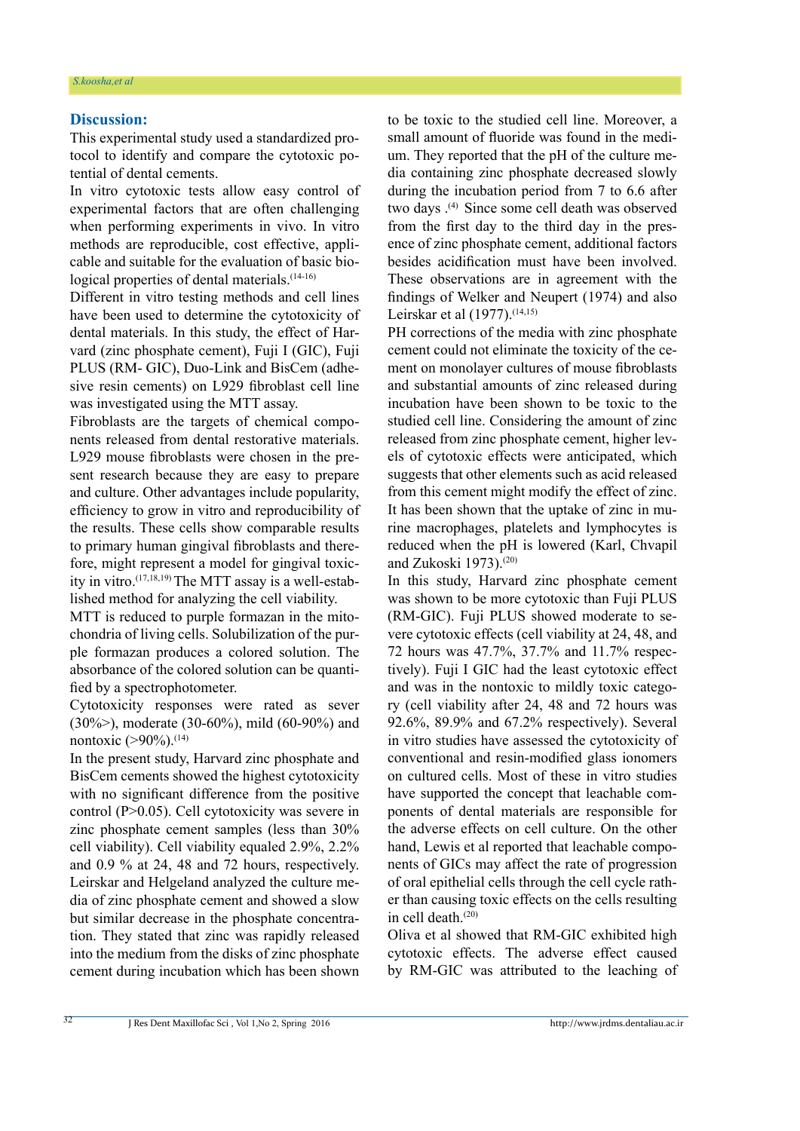#### **Discussion:**

This experimental study used a standardized protocol to identify and compare the cytotoxic potential of dental cements.

In vitro cytotoxic tests allow easy control of experimental factors that are often challenging when performing experiments in vivo. In vitro methods are reproducible, cost effective, applicable and suitable for the evaluation of basic biological properties of dental materials.<sup>(14-16)</sup>

Different in vitro testing methods and cell lines have been used to determine the cytotoxicity of dental materials. In this study, the effect of Harvard (zinc phosphate cement), Fuji I (GIC), Fuji PLUS (RM- GIC), Duo-Link and BisCem (adhesive resin cements) on L929 fibroblast cell line was investigated using the MTT assay.

Fibroblasts are the targets of chemical components released from dental restorative materials. L929 mouse fibroblasts were chosen in the present research because they are easy to prepare and culture. Other advantages include popularity, efficiency to grow in vitro and reproducibility of the results. These cells show comparable results to primary human gingival fibroblasts and therefore, might represent a model for gingival toxicity in vitro.(17,18,19) The MTT assay is a well-established method for analyzing the cell viability.

MTT is reduced to purple formazan in the mitochondria of living cells. Solubilization of the purple formazan produces a colored solution. The absorbance of the colored solution can be quantified by a spectrophotometer.

Cytotoxicity responses were rated as sever (30%>), moderate (30-60%), mild (60-90%) and nontoxic  $(>90\%)$ .<sup>(14)</sup>

In the present study, Harvard zinc phosphate and BisCem cements showed the highest cytotoxicity with no significant difference from the positive control (P>0.05). Cell cytotoxicity was severe in zinc phosphate cement samples (less than 30% cell viability). Cell viability equaled 2.9%, 2.2% and 0.9 % at 24, 48 and 72 hours, respectively. Leirskar and Helgeland analyzed the culture media of zinc phosphate cement and showed a slow but similar decrease in the phosphate concentration. They stated that zinc was rapidly released into the medium from the disks of zinc phosphate cement during incubation which has been shown to be toxic to the studied cell line. Moreover, a small amount of fluoride was found in the medium. They reported that the pH of the culture media containing zinc phosphate decreased slowly during the incubation period from 7 to 6.6 after two days .<sup>(4)</sup> Since some cell death was observed from the first day to the third day in the presence of zinc phosphate cement, additional factors besides acidification must have been involved. These observations are in agreement with the findings of Welker and Neupert (1974) and also Leirskar et al (1977).<sup>(14,15)</sup>

PH corrections of the media with zinc phosphate cement could not eliminate the toxicity of the cement on monolayer cultures of mouse fibroblasts and substantial amounts of zinc released during incubation have been shown to be toxic to the studied cell line. Considering the amount of zinc released from zinc phosphate cement, higher levels of cytotoxic effects were anticipated, which suggests that other elements such as acid released from this cement might modify the effect of zinc. It has been shown that the uptake of zinc in murine macrophages, platelets and lymphocytes is reduced when the pH is lowered (Karl, Chvapil and Zukoski 1973).(20)

In this study, Harvard zinc phosphate cement was shown to be more cytotoxic than Fuji PLUS (RM-GIC). Fuji PLUS showed moderate to severe cytotoxic effects (cell viability at 24, 48, and 72 hours was 47.7%, 37.7% and 11.7% respectively). Fuji I GIC had the least cytotoxic effect and was in the nontoxic to mildly toxic category (cell viability after 24, 48 and 72 hours was 92.6%, 89.9% and 67.2% respectively). Several in vitro studies have assessed the cytotoxicity of conventional and resin-modified glass ionomers on cultured cells. Most of these in vitro studies have supported the concept that leachable components of dental materials are responsible for the adverse effects on cell culture. On the other hand, Lewis et al reported that leachable components of GICs may affect the rate of progression of oral epithelial cells through the cell cycle rather than causing toxic effects on the cells resulting in cell death.(20)

Oliva et al showed that RM-GIC exhibited high cytotoxic effects. The adverse effect caused by RM-GIC was attributed to the leaching of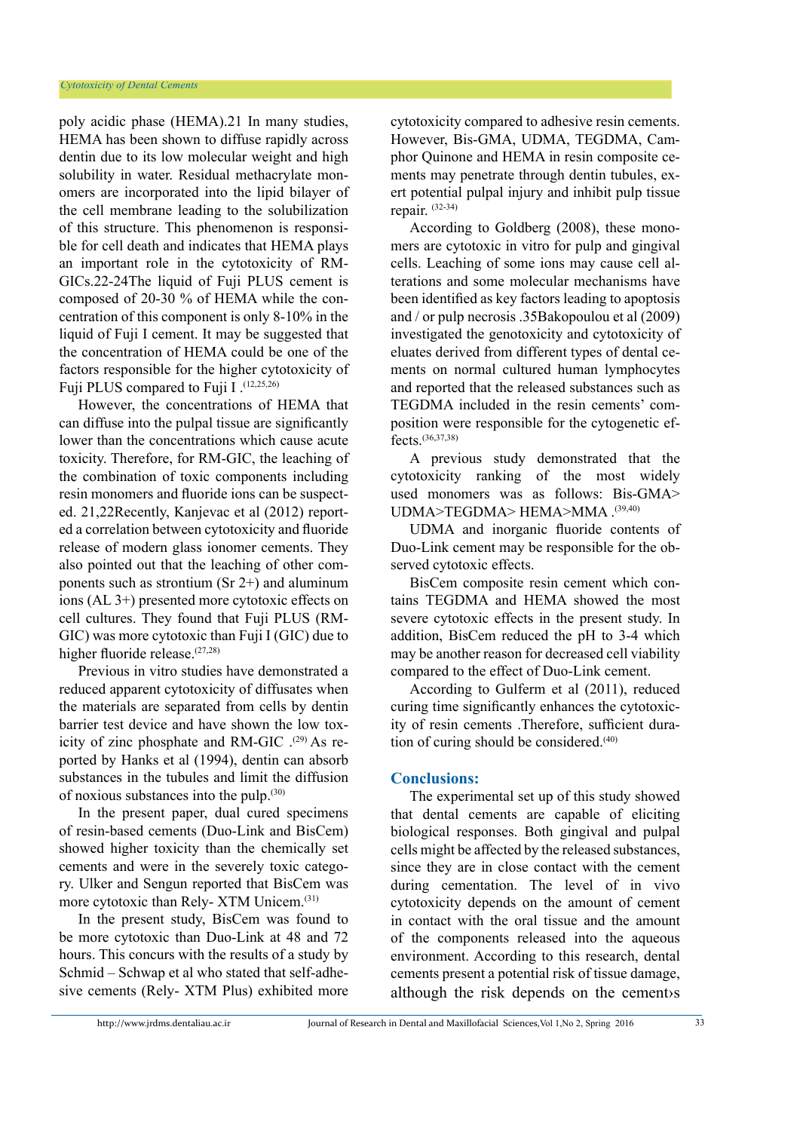poly acidic phase (HEMA).21 In many studies, HEMA has been shown to diffuse rapidly across dentin due to its low molecular weight and high solubility in water. Residual methacrylate monomers are incorporated into the lipid bilayer of the cell membrane leading to the solubilization of this structure. This phenomenon is responsible for cell death and indicates that HEMA plays an important role in the cytotoxicity of RM-GICs.22-24The liquid of Fuji PLUS cement is composed of 20-30 % of HEMA while the concentration of this component is only 8-10% in the liquid of Fuji I cement. It may be suggested that the concentration of HEMA could be one of the factors responsible for the higher cytotoxicity of Fuji PLUS compared to Fuji I .(12,25,26)

However, the concentrations of HEMA that can diffuse into the pulpal tissue are significantly lower than the concentrations which cause acute toxicity. Therefore, for RM-GIC, the leaching of the combination of toxic components including resin monomers and fluoride ions can be suspected. 21,22Recently, Kanjevac et al (2012) reported a correlation between cytotoxicity and fluoride release of modern glass ionomer cements. They also pointed out that the leaching of other components such as strontium (Sr 2+) and aluminum ions (AL 3+) presented more cytotoxic effects on cell cultures. They found that Fuji PLUS (RM-GIC) was more cytotoxic than Fuji I (GIC) due to higher fluoride release.<sup>(27,28)</sup>

Previous in vitro studies have demonstrated a reduced apparent cytotoxicity of diffusates when the materials are separated from cells by dentin barrier test device and have shown the low toxicity of zinc phosphate and RM-GIC  $^{(29)}$  As reported by Hanks et al (1994), dentin can absorb substances in the tubules and limit the diffusion of noxious substances into the pulp.(30)

In the present paper, dual cured specimens of resin-based cements (Duo-Link and BisCem) showed higher toxicity than the chemically set cements and were in the severely toxic category. Ulker and Sengun reported that BisCem was more cytotoxic than Rely- XTM Unicem.(31)

In the present study, BisCem was found to be more cytotoxic than Duo-Link at 48 and 72 hours. This concurs with the results of a study by Schmid – Schwap et al who stated that self-adhesive cements (Rely- XTM Plus) exhibited more

cytotoxicity compared to adhesive resin cements. However, Bis-GMA, UDMA, TEGDMA, Camphor Quinone and HEMA in resin composite cements may penetrate through dentin tubules, exert potential pulpal injury and inhibit pulp tissue repair. (32-34)

According to Goldberg (2008), these monomers are cytotoxic in vitro for pulp and gingival cells. Leaching of some ions may cause cell alterations and some molecular mechanisms have been identified as key factors leading to apoptosis and / or pulp necrosis .35Bakopoulou et al (2009) investigated the genotoxicity and cytotoxicity of eluates derived from different types of dental cements on normal cultured human lymphocytes and reported that the released substances such as TEGDMA included in the resin cements' composition were responsible for the cytogenetic effects.(36,37,38)

A previous study demonstrated that the cytotoxicity ranking of the most widely used monomers was as follows: Bis-GMA> UDMA>TEGDMA> HEMA>MMA . (39,40)

UDMA and inorganic fluoride contents of Duo-Link cement may be responsible for the observed cytotoxic effects.

BisCem composite resin cement which contains TEGDMA and HEMA showed the most severe cytotoxic effects in the present study. In addition, BisCem reduced the pH to 3-4 which may be another reason for decreased cell viability compared to the effect of Duo-Link cement.

According to Gulferm et al (2011), reduced curing time significantly enhances the cytotoxicity of resin cements .Therefore, sufficient duration of curing should be considered.(40)

# **Conclusions:**

The experimental set up of this study showed that dental cements are capable of eliciting biological responses. Both gingival and pulpal cells might be affected by the released substances, since they are in close contact with the cement during cementation. The level of in vivo cytotoxicity depends on the amount of cement in contact with the oral tissue and the amount of the components released into the aqueous environment. According to this research, dental cements present a potential risk of tissue damage, although the risk depends on the cement›s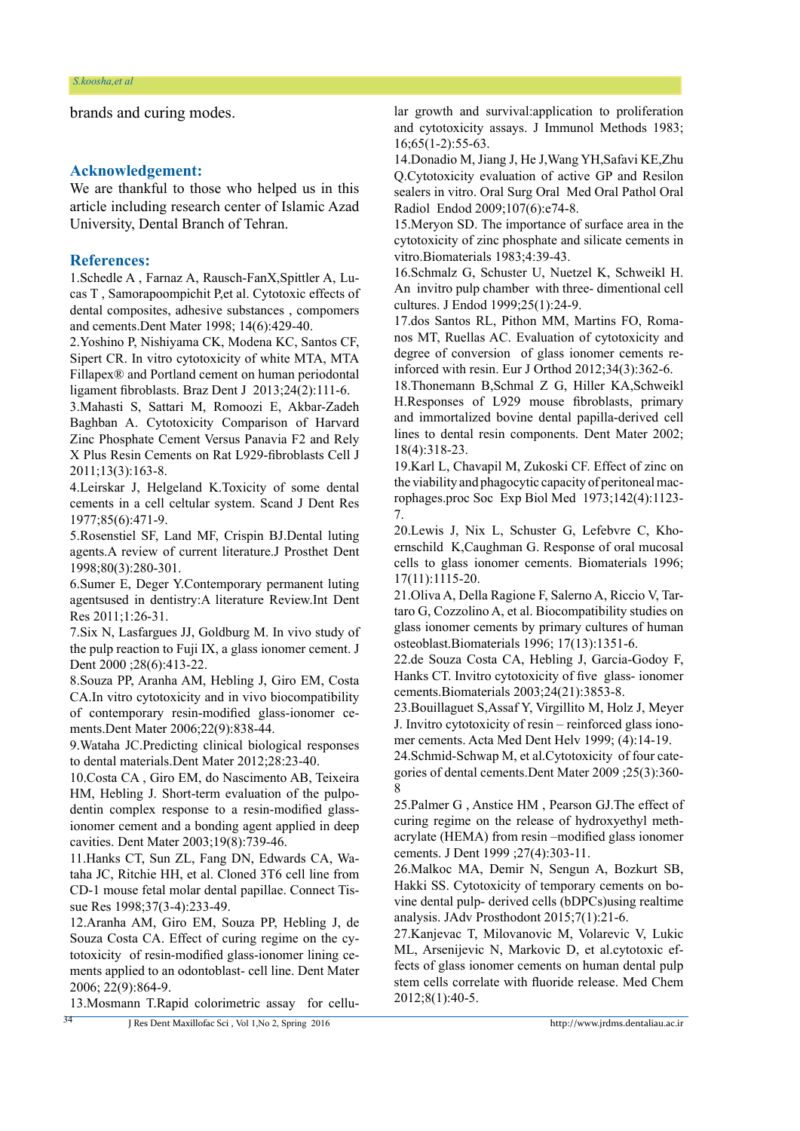brands and curing modes.

# **Acknowledgement:**

We are thankful to those who helped us in this article including research center of Islamic Azad University, Dental Branch of Tehran.

#### **References:**

1.Schedle A , Farnaz A, Rausch-FanX,Spittler A, Lucas T , Samorapoompichit P,et al. Cytotoxic effects of dental composites, adhesive substances , compomers and cements.Dent Mater 1998; 14(6):429-40.

2.Yoshino P, Nishiyama CK, Modena KC, Santos CF, Sipert CR. In vitro cytotoxicity of white MTA, MTA Fillapex® and Portland cement on human periodontal ligament fibroblasts. Braz Dent J 2013;24(2):111-6.

3.Mahasti S, Sattari M, Romoozi E, Akbar-Zadeh Baghban A. Cytotoxicity Comparison of Harvard Zinc Phosphate Cement Versus Panavia F2 and Rely X Plus Resin Cements on Rat L929-fibroblasts Cell J 2011;13(3):163-8.

4.Leirskar J, Helgeland K.Toxicity of some dental cements in a cell celtular system. Scand J Dent Res 1977;85(6):471-9.

5.Rosenstiel SF, Land MF, Crispin BJ.Dental luting agents.A review of current literature.J Prosthet Dent 1998;80(3):280-301.

6.Sumer E, Deger Y.Contemporary permanent luting agentsused in dentistry:A literature Review.Int Dent Res 2011;1:26-31.

7.Six N, Lasfargues JJ, Goldburg M. In vivo study of the pulp reaction to Fuji IX, a glass ionomer cement. J Dent 2000 ; 28(6): 413-22.

8.Souza PP, Aranha AM, Hebling J, Giro EM, Costa CA.In vitro cytotoxicity and in vivo biocompatibility of contemporary resin-modified glass-ionomer cements.Dent Mater 2006;22(9):838-44.

9.Wataha JC.Predicting clinical biological responses to dental materials.Dent Mater 2012;28:23-40.

10.Costa CA , Giro EM, do Nascimento AB, Teixeira HM, Hebling J. Short-term evaluation of the pulpodentin complex response to a resin-modified glassionomer cement and a bonding agent applied in deep cavities. Dent Mater 2003;19(8):739-46.

11.Hanks CT, Sun ZL, Fang DN, Edwards CA, Wataha JC, Ritchie HH, et al. Cloned 3T6 cell line from CD-1 mouse fetal molar dental papillae. Connect Tissue Res 1998;37(3-4):233-49.

12.Aranha AM, Giro EM, Souza PP, Hebling J, de Souza Costa CA. Effect of curing regime on the cytotoxicity of resin-modified glass-ionomer lining cements applied to an odontoblast- cell line. Dent Mater 2006; 22(9):864-9.

13.Mosmann T.Rapid colorimetric assay for cellu-

lar growth and survival:application to proliferation and cytotoxicity assays. J Immunol Methods 1983; 16;65(1-2):55-63.

14.Donadio M, Jiang J, He J,Wang YH,Safavi KE,Zhu Q.Cytotoxicity evaluation of active GP and Resilon sealers in vitro. Oral Surg Oral Med Oral Pathol Oral Radiol Endod 2009;107(6):e74-8.

15.Meryon SD. The importance of surface area in the cytotoxicity of zinc phosphate and silicate cements in vitro.Biomaterials 1983;4:39-43.

16.Schmalz G, Schuster U, Nuetzel K, Schweikl H. An invitro pulp chamber with three- dimentional cell cultures. J Endod 1999;25(1):24-9.

17.dos Santos RL, Pithon MM, Martins FO, Romanos MT, Ruellas AC. Evaluation of cytotoxicity and degree of conversion of glass ionomer cements reinforced with resin. Eur J Orthod 2012;34(3):362-6.

18.Thonemann B,Schmal Z G, Hiller KA,Schweikl H.Responses of L929 mouse fibroblasts, primary and immortalized bovine dental papilla-derived cell lines to dental resin components. Dent Mater 2002; 18(4):318-23.

19.Karl L, Chavapil M, Zukoski CF. Effect of zinc on the viability and phagocytic capacity of peritoneal macrophages.proc Soc Exp Biol Med 1973;142(4):1123- 7.

20.Lewis J, Nix L, Schuster G, Lefebvre C, Khoernschild K,Caughman G. Response of oral mucosal cells to glass ionomer cements. Biomaterials 1996; 17(11):1115-20.

21.Oliva A, Della Ragione F, Salerno A, Riccio V, Tartaro G, Cozzolino A, et al. Biocompatibility studies on glass ionomer cements by primary cultures of human osteoblast.Biomaterials 1996; 17(13):1351-6.

22.de Souza Costa CA, Hebling J, Garcia-Godoy F, Hanks CT. Invitro cytotoxicity of five glass- ionomer cements.Biomaterials 2003;24(21):3853-8.

23.Bouillaguet S,Assaf Y, Virgillito M, Holz J, Meyer J. Invitro cytotoxicity of resin – reinforced glass ionomer cements. Acta Med Dent Helv 1999; (4):14-19.

24.Schmid-Schwap M, et al.Cytotoxicity of four categories of dental cements.Dent Mater 2009 ;25(3):360- 8

25.Palmer G , Anstice HM , Pearson GJ.The effect of curing regime on the release of hydroxyethyl methacrylate (HEMA) from resin –modified glass ionomer cements. J Dent 1999 ;27(4):303-11.

26.Malkoc MA, Demir N, Sengun A, Bozkurt SB, Hakki SS. Cytotoxicity of temporary cements on bovine dental pulp- derived cells (bDPCs)using realtime analysis. JAdv Prosthodont 2015;7(1):21-6.

27.Kanjevac T, Milovanovic M, Volarevic V, Lukic ML, Arsenijevic N, Markovic D, et al.cytotoxic effects of glass ionomer cements on human dental pulp stem cells correlate with fluoride release. Med Chem 2012;8(1):40-5.

J Res Dent Maxillofac Sci , Vol 1,No 2, Spring 2016 http://www.jrdms.dentaliau.ac.ir

34